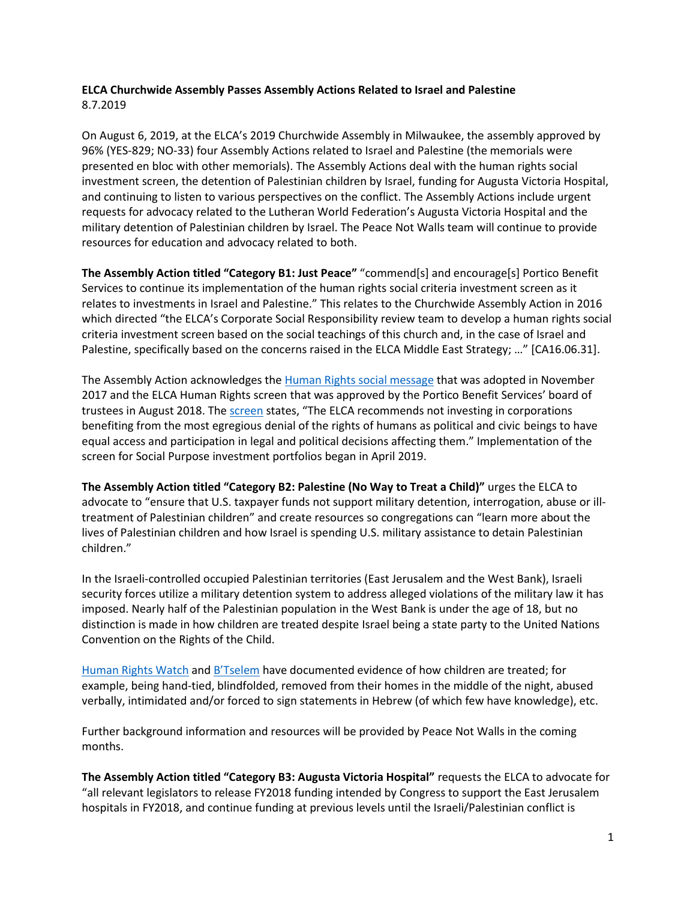# **ELCA Churchwide Assembly Passes Assembly Actions Related to Israel and Palestine**  8.7.2019

On August 6, 2019, at the ELCA's 2019 Churchwide Assembly in Milwaukee, the assembly approved by 96% (YES-829; NO-33) four Assembly Actions related to Israel and Palestine (the memorials were presented en bloc with other memorials). The Assembly Actions deal with the human rights social investment screen, the detention of Palestinian children by Israel, funding for Augusta Victoria Hospital, and continuing to listen to various perspectives on the conflict. The Assembly Actions include urgent requests for advocacy related to the Lutheran World Federation's Augusta Victoria Hospital and the military detention of Palestinian children by Israel. The Peace Not Walls team will continue to provide resources for education and advocacy related to both.

**The Assembly Action titled "Category B1: Just Peace"** "commend[s] and encourage[s] Portico Benefit Services to continue its implementation of the human rights social criteria investment screen as it relates to investments in Israel and Palestine." This relates to the Churchwide Assembly Action in 2016 which directed "the ELCA's Corporate Social Responsibility review team to develop a human rights social criteria investment screen based on the social teachings of this church and, in the case of Israel and Palestine, specifically based on the concerns raised in the ELCA Middle East Strategy; …" [CA16.06.31].

The Assembly Action acknowledges th[e Human Rights social message](https://www.elca.org/Faith/Faith-and-Society/Social-Messages/Human-Rights) that was adopted in November 2017 and the ELCA Human Rights screen that was approved by the Portico Benefit Services' board of trustees in August 2018. The [screen](http://download.elca.org/ELCA%20Resource%20Repository/Political_and_Civil_Human_Rights_Investment_Screen.pdf?_ga=2.236784193.1168551510.1559590696-933675473.1551734685) states, "The ELCA recommends not investing in corporations benefiting from the most egregious denial of the rights of humans as political and civic beings to have equal access and participation in legal and political decisions affecting them." Implementation of the screen for Social Purpose investment portfolios began in April 2019.

**The Assembly Action titled "Category B2: Palestine (No Way to Treat a Child)"** urges the ELCA to advocate to "ensure that U.S. taxpayer funds not support military detention, interrogation, abuse or illtreatment of Palestinian children" and create resources so congregations can "learn more about the lives of Palestinian children and how Israel is spending U.S. military assistance to detain Palestinian children."

In the Israeli-controlled occupied Palestinian territories (East Jerusalem and the West Bank), Israeli security forces utilize a military detention system to address alleged violations of the military law it has imposed. Nearly half of the Palestinian population in the West Bank is under the age of 18, but no distinction is made in how children are treated despite Israel being a state party to the United Nations Convention on the Rights of the Child.

[Human Rights Watch](https://www.hrw.org/news/2016/04/11/palestine-israeli-police-abusing-detained-children) and [B'Tselem](https://www.btselem.org/statistics/minors_in_custody) have documented evidence of how children are treated; for example, being hand-tied, blindfolded, removed from their homes in the middle of the night, abused verbally, intimidated and/or forced to sign statements in Hebrew (of which few have knowledge), etc.

Further background information and resources will be provided by Peace Not Walls in the coming months.

**The Assembly Action titled "Category B3: Augusta Victoria Hospital"** requests the ELCA to advocate for "all relevant legislators to release FY2018 funding intended by Congress to support the East Jerusalem hospitals in FY2018, and continue funding at previous levels until the Israeli/Palestinian conflict is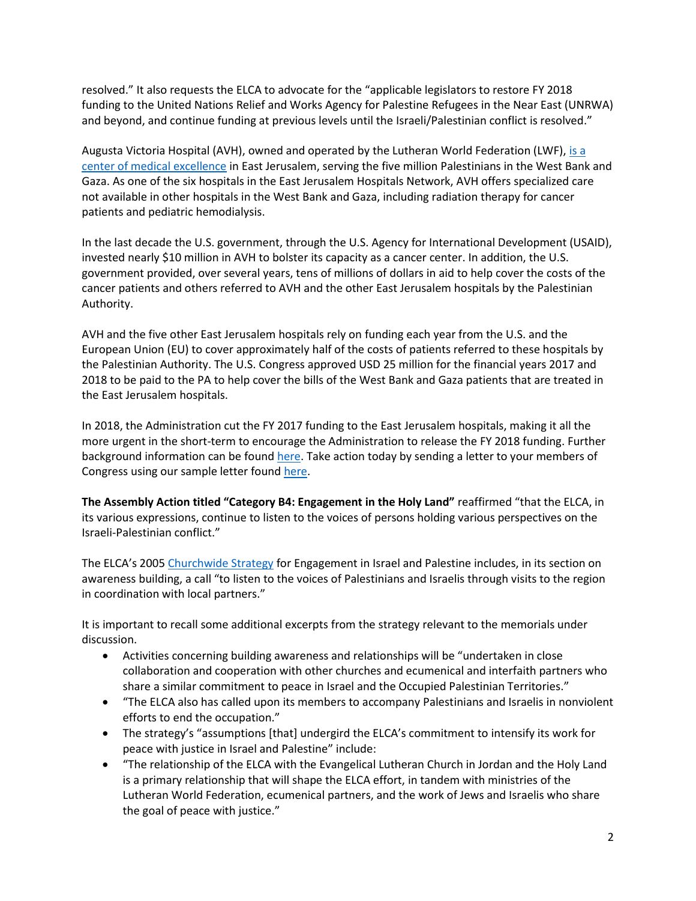resolved." It also requests the ELCA to advocate for the "applicable legislators to restore FY 2018 funding to the United Nations Relief and Works Agency for Palestine Refugees in the Near East (UNRWA) and beyond, and continue funding at previous levels until the Israeli/Palestinian conflict is resolved."

Augusta Victoria Hospital (AVH), owned and operated by the Lutheran World Federation (LWF)[, is a](https://jerusalem.lutheranworld.org/content/augusta-victoria-hospital-91)  [center of medical excellence](https://jerusalem.lutheranworld.org/content/augusta-victoria-hospital-91) in East Jerusalem, serving the five million Palestinians in the West Bank and Gaza. As one of the six hospitals in the East Jerusalem Hospitals Network, AVH offers specialized care not available in other hospitals in the West Bank and Gaza, including radiation therapy for cancer patients and pediatric hemodialysis.

In the last decade the U.S. government, through the U.S. Agency for International Development (USAID), invested nearly \$10 million in AVH to bolster its capacity as a cancer center. In addition, the U.S. government provided, over several years, tens of millions of dollars in aid to help cover the costs of the cancer patients and others referred to AVH and the other East Jerusalem hospitals by the Palestinian Authority.

AVH and the five other East Jerusalem hospitals rely on funding each year from the U.S. and the European Union (EU) to cover approximately half of the costs of patients referred to these hospitals by the Palestinian Authority. The U.S. Congress approved USD 25 million for the financial years 2017 and 2018 to be paid to the PA to help cover the bills of the West Bank and Gaza patients that are treated in the East Jerusalem hospitals.

In 2018, the Administration cut the FY 2017 funding to the East Jerusalem hospitals, making it all the more urgent in the short-term to encourage the Administration to release the FY 2018 funding. Further background information can be found [here.](https://download.elca.org/ELCA%20Resource%20Repository/AVH_EJHN_QA.pdf?_ga=2.123597643.1912170961.1565097919-922023854.1563975661) Take action today by sending a letter to your members of Congress using our sample letter foun[d here.](https://support.elca.org/site/Advocacy?cmd=display&page=UserAction&id=1146)

**The Assembly Action titled "Category B4: Engagement in the Holy Land"** reaffirmed "that the ELCA, in its various expressions, continue to listen to the voices of persons holding various perspectives on the Israeli-Palestinian conflict."

The ELCA's 2005 [Churchwide Strategy](http://download.elca.org/ELCA%20Resource%20Repository/PNW_Strategy.pdf) for Engagement in Israel and Palestine includes, in its section on awareness building, a call "to listen to the voices of Palestinians and Israelis through visits to the region in coordination with local partners."

It is important to recall some additional excerpts from the strategy relevant to the memorials under discussion.

- Activities concerning building awareness and relationships will be "undertaken in close collaboration and cooperation with other churches and ecumenical and interfaith partners who share a similar commitment to peace in Israel and the Occupied Palestinian Territories."
- "The ELCA also has called upon its members to accompany Palestinians and Israelis in nonviolent efforts to end the occupation."
- The strategy's "assumptions [that] undergird the ELCA's commitment to intensify its work for peace with justice in Israel and Palestine" include:
- "The relationship of the ELCA with the Evangelical Lutheran Church in Jordan and the Holy Land is a primary relationship that will shape the ELCA effort, in tandem with ministries of the Lutheran World Federation, ecumenical partners, and the work of Jews and Israelis who share the goal of peace with justice."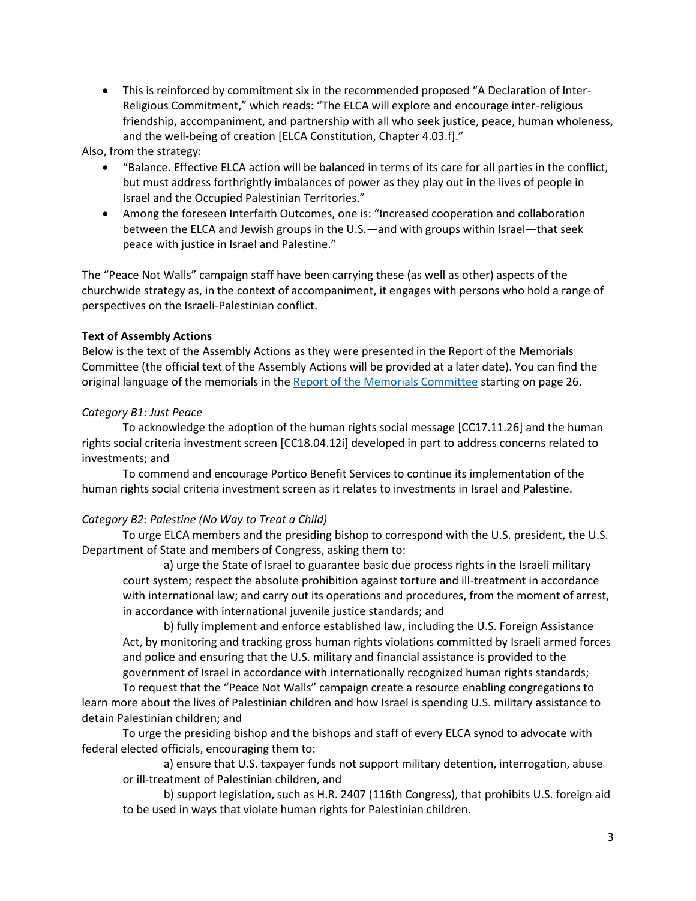• This is reinforced by commitment six in the recommended proposed "A Declaration of Inter-Religious Commitment," which reads: "The ELCA will explore and encourage inter-religious friendship, accompaniment, and partnership with all who seek justice, peace, human wholeness, and the well-being of creation [ELCA Constitution, Chapter 4.03.f]."

Also, from the strategy:

- "Balance. Effective ELCA action will be balanced in terms of its care for all parties in the conflict, but must address forthrightly imbalances of power as they play out in the lives of people in Israel and the Occupied Palestinian Territories."
- Among the foreseen Interfaith Outcomes, one is: "Increased cooperation and collaboration between the ELCA and Jewish groups in the U.S.—and with groups within Israel—that seek peace with justice in Israel and Palestine."

The "Peace Not Walls" campaign staff have been carrying these (as well as other) aspects of the churchwide strategy as, in the context of accompaniment, it engages with persons who hold a range of perspectives on the Israeli-Palestinian conflict.

### **Text of Assembly Actions**

Below is the text of the Assembly Actions as they were presented in the Report of the Memorials Committee (the official text of the Assembly Actions will be provided at a later date). You can find the original language of the memorials in the [Report of the Memorials Committee](https://s3.amazonaws.com/media.guidebook.com/upload/151152/slqBNdHViHpvafNeeKJe8IYYVyLXrxzx8Lck.pdf) starting on page 26.

### *Category B1: Just Peace*

To acknowledge the adoption of the human rights social message [CC17.11.26] and the human rights social criteria investment screen [CC18.04.12i] developed in part to address concerns related to investments; and

To commend and encourage Portico Benefit Services to continue its implementation of the human rights social criteria investment screen as it relates to investments in Israel and Palestine.

## *Category B2: Palestine (No Way to Treat a Child)*

To urge ELCA members and the presiding bishop to correspond with the U.S. president, the U.S. Department of State and members of Congress, asking them to:

a) urge the State of Israel to guarantee basic due process rights in the Israeli military court system; respect the absolute prohibition against torture and ill-treatment in accordance with international law; and carry out its operations and procedures, from the moment of arrest, in accordance with international juvenile justice standards; and

b) fully implement and enforce established law, including the U.S. Foreign Assistance Act, by monitoring and tracking gross human rights violations committed by Israeli armed forces and police and ensuring that the U.S. military and financial assistance is provided to the government of Israel in accordance with internationally recognized human rights standards;

To request that the "Peace Not Walls" campaign create a resource enabling congregations to learn more about the lives of Palestinian children and how Israel is spending U.S. military assistance to detain Palestinian children; and

To urge the presiding bishop and the bishops and staff of every ELCA synod to advocate with federal elected officials, encouraging them to:

a) ensure that U.S. taxpayer funds not support military detention, interrogation, abuse or ill-treatment of Palestinian children, and

b) support legislation, such as H.R. 2407 (116th Congress), that prohibits U.S. foreign aid to be used in ways that violate human rights for Palestinian children.